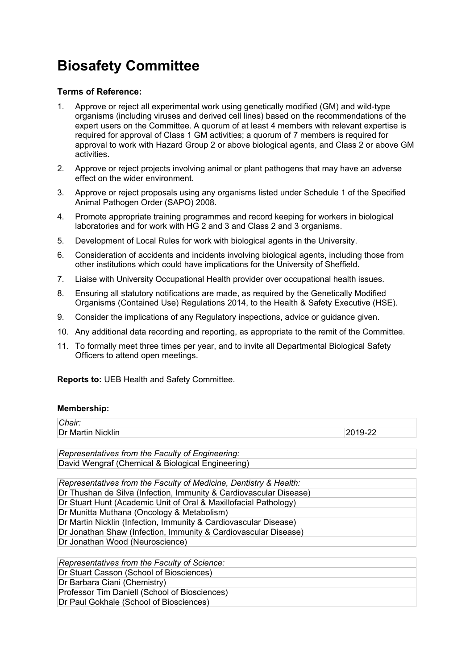## **Biosafety Committee**

## **Terms of Reference:**

- 1. Approve or reject all experimental work using genetically modified (GM) and wild-type organisms (including viruses and derived cell lines) based on the recommendations of the expert users on the Committee. A quorum of at least 4 members with relevant expertise is required for approval of Class 1 GM activities; a quorum of 7 members is required for approval to work with Hazard Group 2 or above biological agents, and Class 2 or above GM activities.
- 2. Approve or reject projects involving animal or plant pathogens that may have an adverse effect on the wider environment.
- 3. Approve or reject proposals using any organisms listed under Schedule 1 of the Specified Animal Pathogen Order (SAPO) 2008.
- 4. Promote appropriate training programmes and record keeping for workers in biological laboratories and for work with HG 2 and 3 and Class 2 and 3 organisms.
- 5. Development of Local Rules for work with biological agents in the University.
- 6. Consideration of accidents and incidents involving biological agents, including those from other institutions which could have implications for the University of Sheffield.
- 7. Liaise with University Occupational Health provider over occupational health issues.
- 8. Ensuring all statutory notifications are made, as required by the Genetically Modified Organisms (Contained Use) Regulations 2014, to the Health & Safety Executive (HSE).
- 9. Consider the implications of any Regulatory inspections, advice or guidance given.
- 10. Any additional data recording and reporting, as appropriate to the remit of the Committee.
- 11. To formally meet three times per year, and to invite all Departmental Biological Safety Officers to attend open meetings.

**Reports to:** UEB Health and Safety Committee.

## **Membership:**

| Chair:                                                             |         |
|--------------------------------------------------------------------|---------|
| Dr Martin Nicklin                                                  | 2019-22 |
|                                                                    |         |
| Representatives from the Faculty of Engineering:                   |         |
| David Wengraf (Chemical & Biological Engineering)                  |         |
|                                                                    |         |
| Representatives from the Faculty of Medicine, Dentistry & Health:  |         |
| Dr Thushan de Silva (Infection, Immunity & Cardiovascular Disease) |         |
| Dr Stuart Hunt (Academic Unit of Oral & Maxillofacial Pathology)   |         |
| Dr Munitta Muthana (Oncology & Metabolism)                         |         |
| Dr Martin Nicklin (Infection, Immunity & Cardiovascular Disease)   |         |
| Dr Jonathan Shaw (Infection, Immunity & Cardiovascular Disease)    |         |
| Dr Jonathan Wood (Neuroscience)                                    |         |
|                                                                    |         |
| Representatives from the Faculty of Science:                       |         |
| Dr Stuart Casson (School of Biosciences)                           |         |
| Dr Barbara Ciani (Chemistry)                                       |         |
| Professor Tim Daniell (School of Biosciences)                      |         |

Dr Paul Gokhale (School of Biosciences)